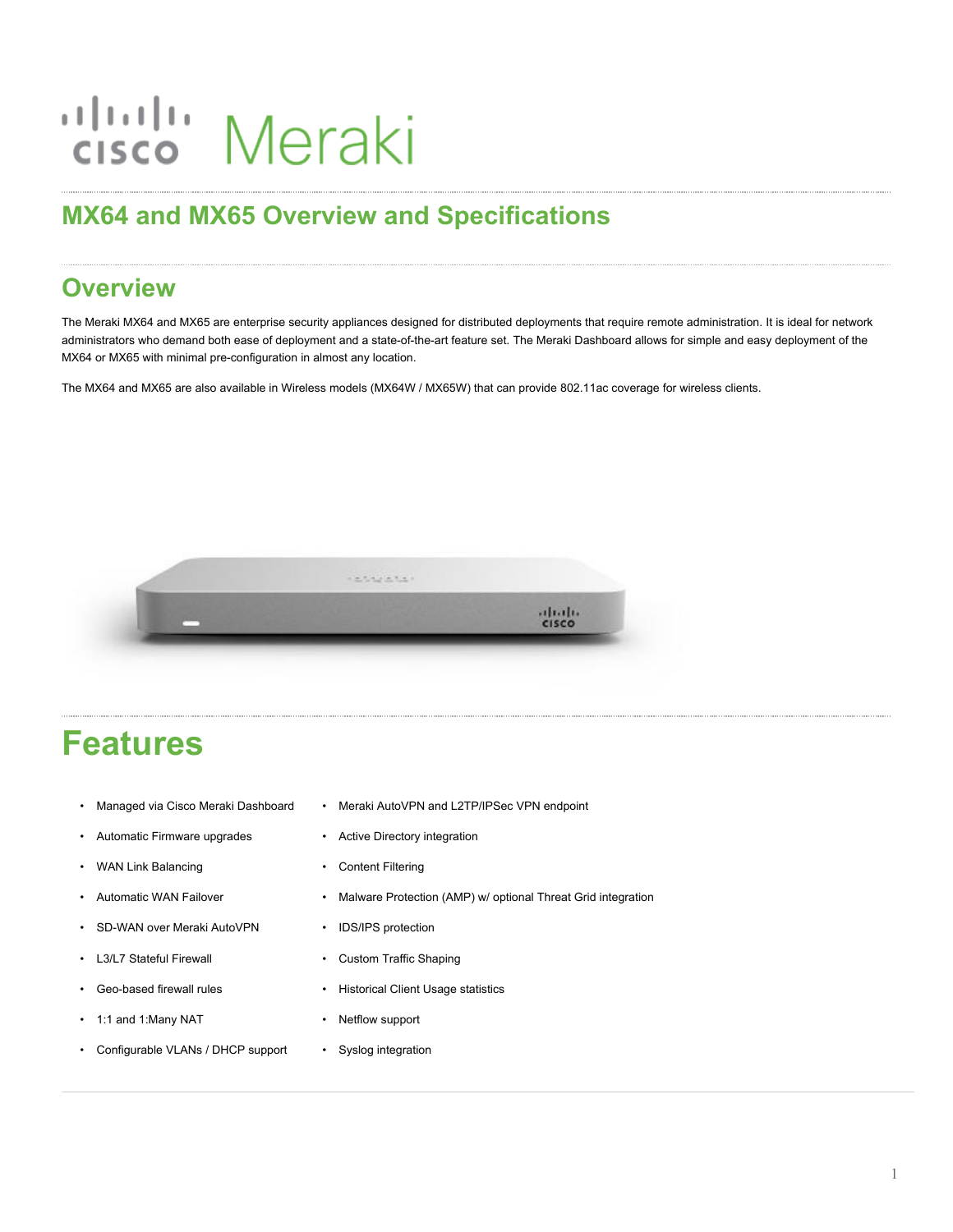# ululu Meraki

# **MX64 and MX65 Overview and Specifications**

## **Overview**

The Meraki MX64 and MX65 are enterprise security appliances designed for distributed deployments that require remote administration. It is ideal for network administrators who demand both ease of deployment and a state-of-the-art feature set. The Meraki Dashboard allows for simple and easy deployment of the MX64 or MX65 with minimal pre-configuration in almost any location.

The MX64 and MX65 are also available in Wireless models (MX64W / MX65W) that can provide 802.11ac coverage for wireless clients.



# **Features**

- Managed via Cisco Meraki Dashboard
- Automatic Firmware upgrades
- WAN Link Balancing
- Automatic WAN Failover
- SD-WAN over Meraki AutoVPN
- L3/L7 Stateful Firewall
- Geo-based firewall rules
- 1:1 and 1:Many NAT
- Configurable VLANs / DHCP support
- Meraki AutoVPN and L2TP/IPSec VPN endpoint
- Active Directory integration
- Content Filtering
- Malware Protection (AMP) w/ optional Threat Grid integration
- IDS/IPS protection
- Custom Traffic Shaping
- Historical Client Usage statistics
- Netflow support
- Syslog integration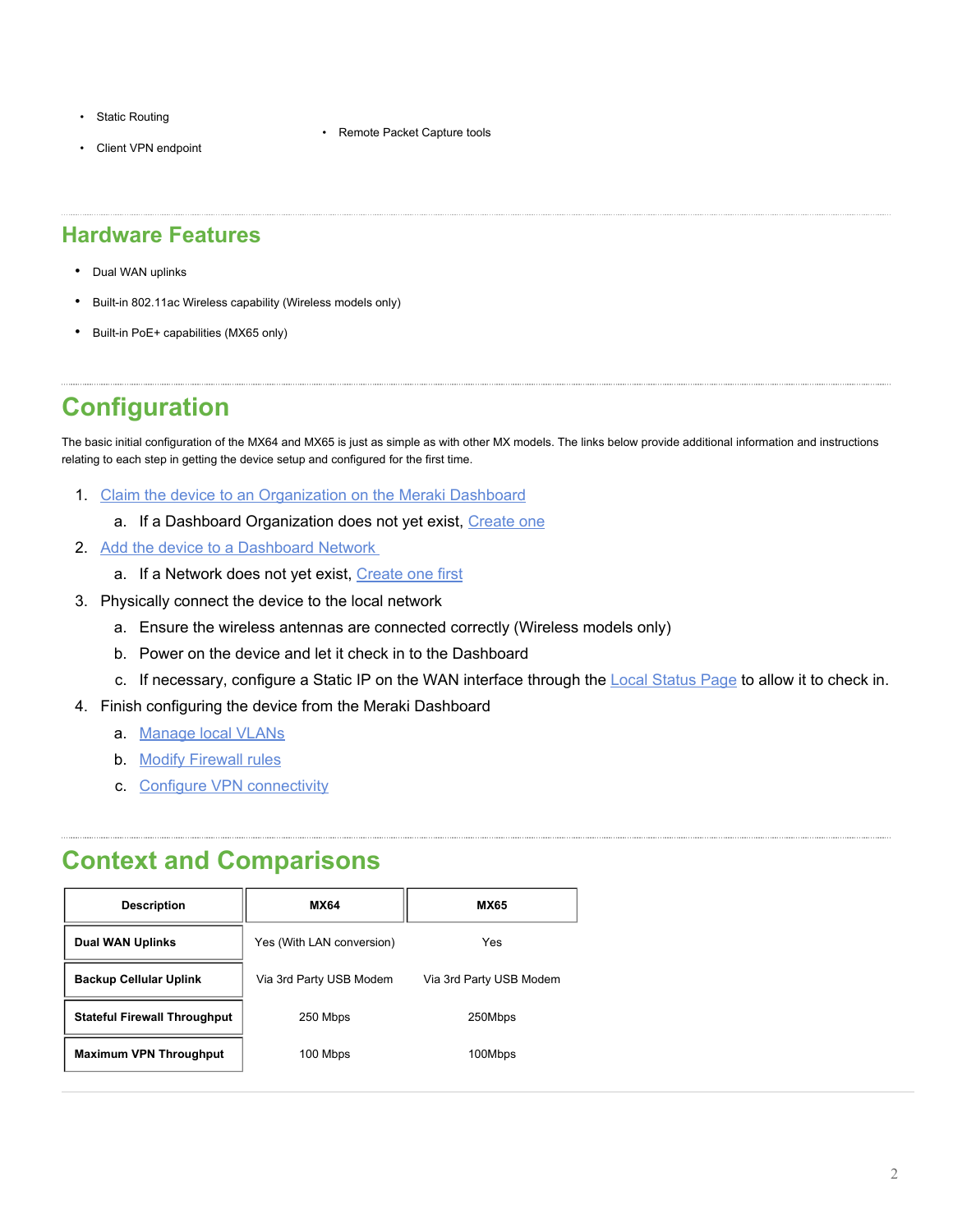- Static Routing
- Client VPN endpoint

#### **Hardware Features**

- Dual WAN uplinks
- Built-in 802.11ac Wireless capability (Wireless models only)
- Built-in PoE+ capabilities (MX65 only)

# **Configuration**

The basic initial configuration of the MX64 and MX65 is just as simple as with other MX models. The links below provide additional information and instructions relating to each step in getting the device setup and configured for the first time.

- 1. [Claim the device to an Organization on the Meraki Dashboard](https://documentation.meraki.com/General_Administration/Inventory_and_Devices/Using_the_Organization_Inventory)
	- a. If a Dashboard Organization does not yet exist, [Create one](https://documentation.meraki.com/General_Administration/Organizations_and_Networks/Creating_a_Dashboard_Account_and_Organization)
- 2. [Add the device to a Dashboard Network](https://documentation.meraki.com/General_Administration/Inventory_and_Devices/Adding_and_Removing_Devices_from_Dashboard_Networks#Adding_Devices_to_Networks)
	- a. If a Network does not yet exist, [Create one first](https://documentation.meraki.com/General_Administration/Organizations_and_Networks/Creating_and_Deleting_Dashboard_Networks#Creating_a_Network)
- 3. Physically connect the device to the local network
	- a. Ensure the wireless antennas are connected correctly (Wireless models only)

• Remote Packet Capture tools

- b. Power on the device and let it check in to the Dashboard
- c. If necessary, configure a Static IP on the WAN interface through the [Local Status Page](https://documentation.meraki.com/General_Administration/Tools_and_Troubleshooting/Using_the_Cisco_Meraki_Device_Local_Status_Page) to allow it to check in.
- 4. Finish configuring the device from the Meraki Dashboard
	- a. [Manage](https://documentation.meraki.com/MX/Networks_and_Routing/MX_Addressing_and_VLANs) local VLANs
	- b. Modify [Firewall rules](https://documentation.meraki.com/MX/Firewall_and_Traffic_Shaping/MX_Firewall_Settings)
	- c. [Configure VPN connectivity](https://documentation.meraki.com/MX/Site-to-site_VPN/Site-to-Site_VPN_Settings)

#### **Context and Comparisons**

| <b>Description</b>                  | <b>MX64</b>               | <b>MX65</b>             |
|-------------------------------------|---------------------------|-------------------------|
| <b>Dual WAN Uplinks</b>             | Yes (With LAN conversion) | Yes                     |
| <b>Backup Cellular Uplink</b>       | Via 3rd Party USB Modem   | Via 3rd Party USB Modem |
| <b>Stateful Firewall Throughput</b> | 250 Mbps                  | 250Mbps                 |
| <b>Maximum VPN Throughput</b>       | 100 Mbps                  | 100Mbps                 |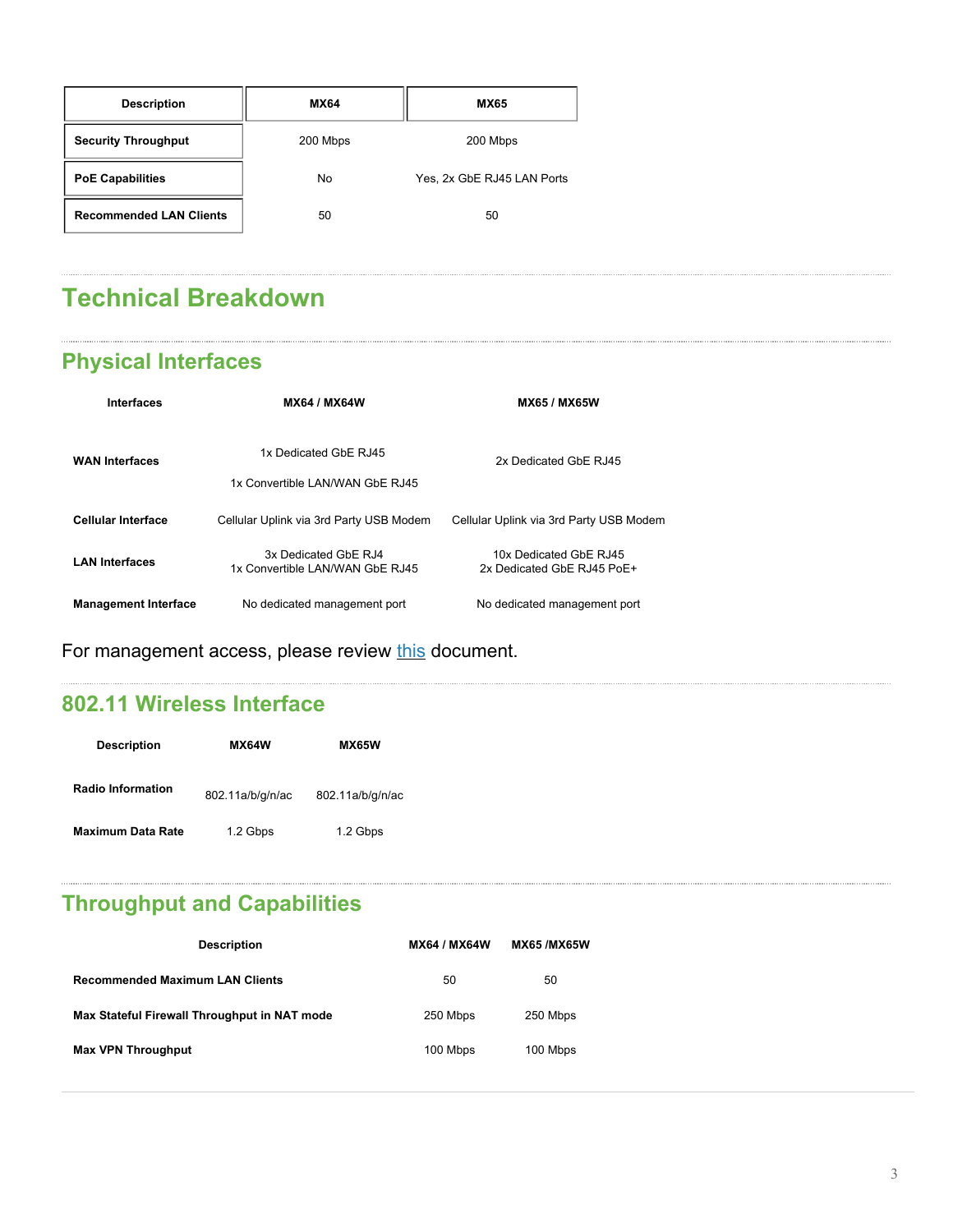| <b>Description</b>             | <b>MX64</b> | <b>MX65</b>                |  |
|--------------------------------|-------------|----------------------------|--|
| <b>Security Throughput</b>     | 200 Mbps    | 200 Mbps                   |  |
| <b>PoE Capabilities</b>        | No          | Yes, 2x GbE RJ45 LAN Ports |  |
| <b>Recommended LAN Clients</b> | 50          | 50                         |  |

# **Technical Breakdown**

## **Physical Interfaces**

| <b>Interfaces</b>           | <b>MX64 / MX64W</b>                                      | <b>MX65 / MX65W</b>                                  |
|-----------------------------|----------------------------------------------------------|------------------------------------------------------|
| <b>WAN Interfaces</b>       | 1x Dedicated GbF RJ45<br>1x Convertible LAN/WAN GbE RJ45 | 2x Dedicated GbE RJ45                                |
| <b>Cellular Interface</b>   | Cellular Uplink via 3rd Party USB Modem                  | Cellular Uplink via 3rd Party USB Modem              |
| <b>LAN Interfaces</b>       | 3x Dedicated GbF RJ4<br>1x Convertible LAN/WAN GbE RJ45  | 10x Dedicated GbE RJ45<br>2x Dedicated GbE RJ45 PoE+ |
| <b>Management Interface</b> | No dedicated management port                             | No dedicated management port                         |

For management access, please review [this](https://documentation.meraki.com/General_Administration/Tools_and_Troubleshooting/Using_the_Cisco_Meraki_Device_Local_Status_Page) document.

#### **802.11 Wireless Interface**

| <b>Description</b>       | <b>MX64W</b>     | <b>MX65W</b>     |
|--------------------------|------------------|------------------|
| <b>Radio Information</b> | 802.11a/b/g/n/ac | 802.11a/b/g/n/ac |
| <b>Maximum Data Rate</b> | 1.2 Gbps         | 1.2 Gbps         |

# **Throughput and Capabilities**

| <b>Description</b>                           | <b>MX64 / MX64W</b> | <b>MX65/MX65W</b> |
|----------------------------------------------|---------------------|-------------------|
| <b>Recommended Maximum LAN Clients</b>       | 50                  | 50                |
| Max Stateful Firewall Throughput in NAT mode | 250 Mbps            | 250 Mbps          |
| <b>Max VPN Throughput</b>                    | 100 Mbps            | 100 Mbps          |